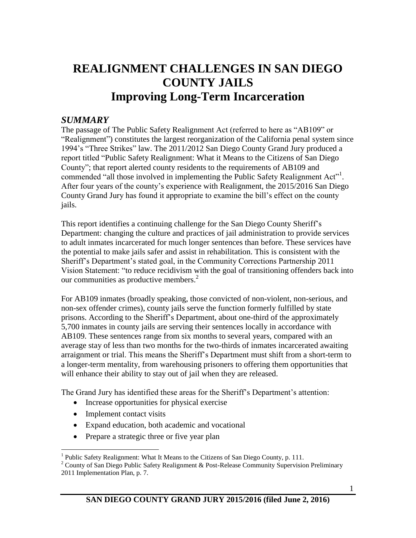# **REALIGNMENT CHALLENGES IN SAN DIEGO COUNTY JAILS Improving Long-Term Incarceration**

### *SUMMARY*

The passage of The Public Safety Realignment Act (referred to here as "AB109" or "Realignment") constitutes the largest reorganization of the California penal system since 1994's "Three Strikes" law. The 2011/2012 San Diego County Grand Jury produced a report titled "Public Safety Realignment: What it Means to the Citizens of San Diego County"; that report alerted county residents to the requirements of AB109 and commended "all those involved in implementing the Public Safety Realignment Act"<sup>1</sup>. After four years of the county's experience with Realignment, the 2015/2016 San Diego County Grand Jury has found it appropriate to examine the bill's effect on the county jails.

This report identifies a continuing challenge for the San Diego County Sheriff's Department: changing the culture and practices of jail administration to provide services to adult inmates incarcerated for much longer sentences than before. These services have the potential to make jails safer and assist in rehabilitation. This is consistent with the Sheriff's Department's stated goal, in the Community Corrections Partnership 2011 Vision Statement: "to reduce recidivism with the goal of transitioning offenders back into our communities as productive members.<sup>2</sup>

For AB109 inmates (broadly speaking, those convicted of non-violent, non-serious, and non-sex offender crimes), county jails serve the function formerly fulfilled by state prisons. According to the Sheriff's Department, about one-third of the approximately 5,700 inmates in county jails are serving their sentences locally in accordance with AB109. These sentences range from six months to several years, compared with an average stay of less than two months for the two-thirds of inmates incarcerated awaiting arraignment or trial. This means the Sheriff's Department must shift from a short-term to a longer-term mentality, from warehousing prisoners to offering them opportunities that will enhance their ability to stay out of jail when they are released.

The Grand Jury has identified these areas for the Sheriff's Department's attention:

- Increase opportunities for physical exercise
- Implement contact visits
- Expand education, both academic and vocational
- Prepare a strategic three or five year plan

 $\overline{a}$ <sup>1</sup> Public Safety Realignment: What It Means to the Citizens of San Diego County, p. 111.

<sup>&</sup>lt;sup>2</sup> County of San Diego Public Safety Realignment & Post-Release Community Supervision Preliminary 2011 Implementation Plan, p. 7.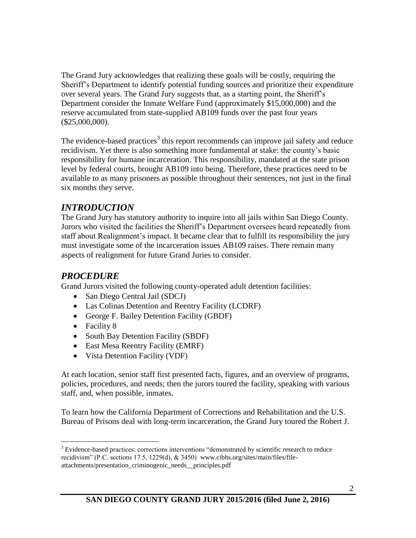The Grand Jury acknowledges that realizing these goals will be costly, requiring the Sheriff's Department to identify potential funding sources and prioritize their expenditure over several years. The Grand Jury suggests that, as a starting point, the Sheriff's Department consider the Inmate Welfare Fund (approximately \$15,000,000) and the reserve accumulated from state-supplied AB109 funds over the past four years (\$25,000,000).

The evidence-based practices<sup>3</sup> this report recommends can improve jail safety and reduce recidivism. Yet there is also something more fundamental at stake: the county's basic responsibility for humane incarceration. This responsibility, mandated at the state prison level by federal courts, brought AB109 into being. Therefore, these practices need to be available to as many prisoners as possible throughout their sentences, not just in the final six months they serve.

## *INTRODUCTION*

The Grand Jury has statutory authority to inquire into all jails within San Diego County. Jurors who visited the facilities the Sheriff's Department oversees heard repeatedly from staff about Realignment's impact. It became clear that to fulfill its responsibility the jury must investigate some of the incarceration issues AB109 raises. There remain many aspects of realignment for future Grand Juries to consider.

### *PROCEDURE*

Grand Jurors visited the following county-operated adult detention facilities:

- San Diego Central Jail (SDCJ)
- Las Colinas Detention and Reentry Facility (LCDRF)
- George F. Bailey Detention Facility (GBDF)
- Facility 8

 $\overline{a}$ 

- South Bay Detention Facility (SBDF)
- East Mesa Reentry Facility (EMRF)
- Vista Detention Facility (VDF)

At each location, senior staff first presented facts, figures, and an overview of programs, policies, procedures, and needs; then the jurors toured the facility, speaking with various staff, and, when possible, inmates.

To learn how the California Department of Corrections and Rehabilitation and the U.S. Bureau of Prisons deal with long-term incarceration, the Grand Jury toured the Robert J.

<sup>&</sup>lt;sup>3</sup> Evidence-based practices: corrections interventions "demonstrated by scientific research to reduce recidivism" (P.C. sections 17.5, 1229(d), & 3450) www.cibhs.org/sites/main/files/fileattachments/presentation\_criminogenic\_needs\_\_principles.pdf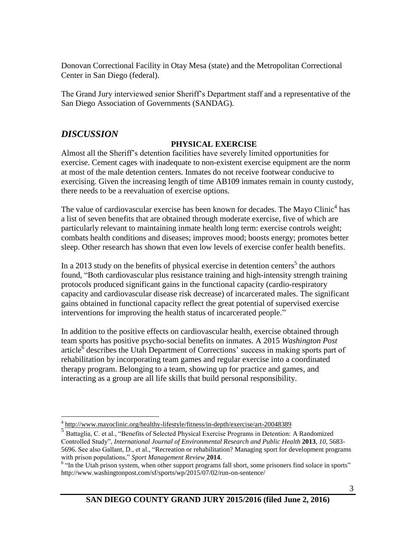Donovan Correctional Facility in Otay Mesa (state) and the Metropolitan Correctional Center in San Diego (federal).

The Grand Jury interviewed senior Sheriff's Department staff and a representative of the San Diego Association of Governments (SANDAG).

# *DISCUSSION*

 $\overline{a}$ 

#### **PHYSICAL EXERCISE**

Almost all the Sheriff's detention facilities have severely limited opportunities for exercise. Cement cages with inadequate to non-existent exercise equipment are the norm at most of the male detention centers. Inmates do not receive footwear conducive to exercising. Given the increasing length of time AB109 inmates remain in county custody, there needs to be a reevaluation of exercise options.

The value of cardiovascular exercise has been known for decades. The Mayo Clinic<sup>4</sup> has a list of seven benefits that are obtained through moderate exercise, five of which are particularly relevant to maintaining inmate health long term: exercise controls weight; combats health conditions and diseases; improves mood; boosts energy; promotes better sleep. Other research has shown that even low levels of exercise confer health benefits.

In a 2013 study on the benefits of physical exercise in detention centers<sup>5</sup> the authors found, "Both cardiovascular plus resistance training and high-intensity strength training protocols produced significant gains in the functional capacity (cardio-respiratory capacity and cardiovascular disease risk decrease) of incarcerated males. The significant gains obtained in functional capacity reflect the great potential of supervised exercise interventions for improving the health status of incarcerated people."

In addition to the positive effects on cardiovascular health, exercise obtained through team sports has positive psycho-social benefits on inmates. A 2015 *Washington Post* article $\delta$  describes the Utah Department of Corrections' success in making sports part of rehabilitation by incorporating team games and regular exercise into a coordinated therapy program. Belonging to a team, showing up for practice and games, and interacting as a group are all life skills that build personal responsibility.

<sup>&</sup>lt;sup>4</sup> <http://www.mayoclinic.org/healthy-lifestyle/fitness/in-depth/exercise/art-20048389>

<sup>5</sup> Battaglia, C. et al., "Benefits of Selected Physical Exercise Programs in Detention: A Randomized Controlled Study", *International Journal of Environmental Research and Public Health* **2013**, *10*, 5683- 5696. See also Gallant, D., et al., "Recreation or rehabilitation? Managing sport for development programs with prison populations," *Sport Management Review* **2014**.

<sup>&</sup>lt;sup>6</sup> "In the Utah prison system, when other support programs fall short, some prisoners find solace in sports" http://www.washingtonpost.com/sf/sports/wp/2015/07/02/run-on-sentence/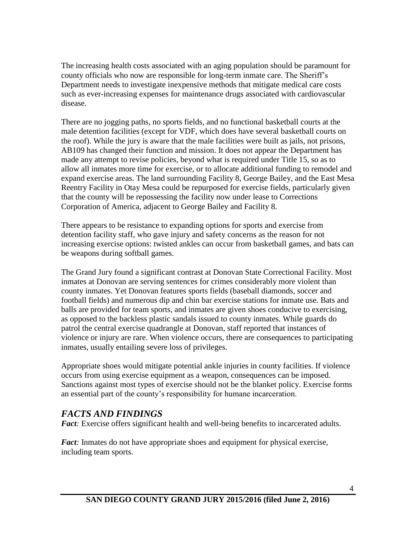The increasing health costs associated with an aging population should be paramount for county officials who now are responsible for long-term inmate care. The Sheriff's Department needs to investigate inexpensive methods that mitigate medical care costs such as ever-increasing expenses for maintenance drugs associated with cardiovascular disease.

There are no jogging paths, no sports fields, and no functional basketball courts at the male detention facilities (except for VDF, which does have several basketball courts on the roof). While the jury is aware that the male facilities were built as jails, not prisons, AB109 has changed their function and mission. It does not appear the Department has made any attempt to revise policies, beyond what is required under Title 15, so as to allow all inmates more time for exercise, or to allocate additional funding to remodel and expand exercise areas. The land surrounding Facility 8, George Bailey, and the East Mesa Reentry Facility in Otay Mesa could be repurposed for exercise fields, particularly given that the county will be repossessing the facility now under lease to Corrections Corporation of America, adjacent to George Bailey and Facility 8.

There appears to be resistance to expanding options for sports and exercise from detention facility staff, who gave injury and safety concerns as the reason for not increasing exercise options: twisted ankles can occur from basketball games, and bats can be weapons during softball games.

The Grand Jury found a significant contrast at Donovan State Correctional Facility. Most inmates at Donovan are serving sentences for crimes considerably more violent than county inmates. Yet Donovan features sports fields (baseball diamonds, soccer and football fields) and numerous dip and chin bar exercise stations for inmate use. Bats and balls are provided for team sports, and inmates are given shoes conducive to exercising, as opposed to the backless plastic sandals issued to county inmates. While guards do patrol the central exercise quadrangle at Donovan, staff reported that instances of violence or injury are rare. When violence occurs, there are consequences to participating inmates, usually entailing severe loss of privileges.

Appropriate shoes would mitigate potential ankle injuries in county facilities. If violence occurs from using exercise equipment as a weapon, consequences can be imposed. Sanctions against most types of exercise should not be the blanket policy. Exercise forms an essential part of the county's responsibility for humane incarceration.

# *FACTS AND FINDINGS*

*Fact*: Exercise offers significant health and well-being benefits to incarcerated adults.

*Fact:* Inmates do not have appropriate shoes and equipment for physical exercise, including team sports.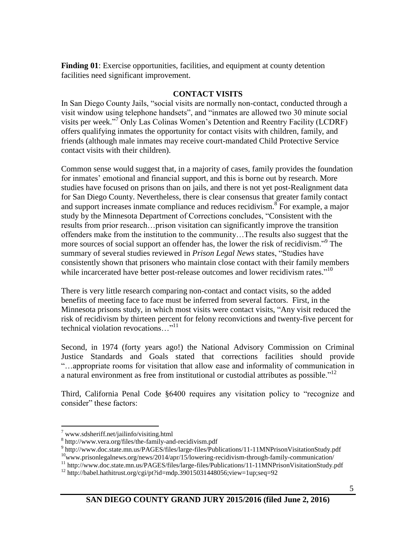**Finding 01**: Exercise opportunities, facilities, and equipment at county detention facilities need significant improvement.

#### **CONTACT VISITS**

In San Diego County Jails, "social visits are normally non-contact, conducted through a visit window using telephone handsets", and "inmates are allowed two 30 minute social visits per week." <sup>7</sup> Only Las Colinas Women's Detention and Reentry Facility (LCDRF) offers qualifying inmates the opportunity for contact visits with children, family, and friends (although male inmates may receive court-mandated Child Protective Service contact visits with their children).

Common sense would suggest that, in a majority of cases, family provides the foundation for inmates' emotional and financial support, and this is borne out by research. More studies have focused on prisons than on jails, and there is not yet post-Realignment data for San Diego County. Nevertheless, there is clear consensus that greater family contact and support increases inmate compliance and reduces recidivism.<sup>8</sup> For example, a major study by the Minnesota Department of Corrections concludes, "Consistent with the results from prior research…prison visitation can significantly improve the transition offenders make from the institution to the community…The results also suggest that the more sources of social support an offender has, the lower the risk of recidivism."<sup>9</sup> The summary of several studies reviewed in *Prison Legal News* states, "Studies have consistently shown that prisoners who maintain close contact with their family members while incarcerated have better post-release outcomes and lower recidivism rates."<sup>10</sup>

There is very little research comparing non-contact and contact visits, so the added benefits of meeting face to face must be inferred from several factors. First, in the Minnesota prisons study, in which most visits were contact visits, "Any visit reduced the risk of recidivism by thirteen percent for felony reconvictions and twenty-five percent for technical violation revocations..."<sup>11</sup>

Second, in 1974 (forty years ago!) the National Advisory Commission on Criminal Justice Standards and Goals stated that corrections facilities should provide "…appropriate rooms for visitation that allow ease and informality of communication in a natural environment as free from institutional or custodial attributes as possible."<sup>12</sup>

Third, California Penal Code §6400 requires any visitation policy to "recognize and consider" these factors:

 $\overline{a}$ 

<sup>9</sup> <http://www.doc.state.mn.us/PAGES/files/large-files/Publications/11-11MNPrisonVisitationStudy.pdf>

 $\frac{7}{1}$  [www.sdsheriff.net/jailinfo/visiting.html](http://www.sdsheriff.net/jailinfo/visiting.html)

<sup>8</sup> http://www.vera.org/files/the-family-and-recidivism.pdf

 $10$ [www.prisonlegalnews.org/news/2014/apr/15/lowering-recidivism-through-family-communication/](http://www.prisonlegalnews.org/news/2014/apr/15/lowering-recidivism-through-family-communication/)

<sup>11</sup> <http://www.doc.state.mn.us/PAGES/files/large-files/Publications/11-11MNPrisonVisitationStudy.pdf>

 $12$  http://babel.hathitrust.org/cgi/pt?id=mdp.39015031448056;view=1up;seq=92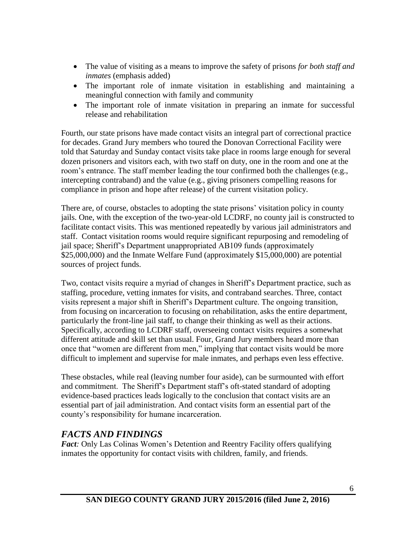- The value of visiting as a means to improve the safety of prisons *for both staff and inmates* (emphasis added)
- The important role of inmate visitation in establishing and maintaining a meaningful connection with family and community
- The important role of inmate visitation in preparing an inmate for successful release and rehabilitation

Fourth, our state prisons have made contact visits an integral part of correctional practice for decades. Grand Jury members who toured the Donovan Correctional Facility were told that Saturday and Sunday contact visits take place in rooms large enough for several dozen prisoners and visitors each, with two staff on duty, one in the room and one at the room's entrance. The staff member leading the tour confirmed both the challenges (e.g., intercepting contraband) and the value (e.g., giving prisoners compelling reasons for compliance in prison and hope after release) of the current visitation policy.

There are, of course, obstacles to adopting the state prisons' visitation policy in county jails. One, with the exception of the two-year-old LCDRF, no county jail is constructed to facilitate contact visits. This was mentioned repeatedly by various jail administrators and staff. Contact visitation rooms would require significant repurposing and remodeling of jail space; Sheriff's Department unappropriated AB109 funds (approximately \$25,000,000) and the Inmate Welfare Fund (approximately \$15,000,000) are potential sources of project funds.

Two, contact visits require a myriad of changes in Sheriff's Department practice, such as staffing, procedure, vetting inmates for visits, and contraband searches. Three, contact visits represent a major shift in Sheriff's Department culture. The ongoing transition, from focusing on incarceration to focusing on rehabilitation, asks the entire department, particularly the front-line jail staff, to change their thinking as well as their actions. Specifically, according to LCDRF staff, overseeing contact visits requires a somewhat different attitude and skill set than usual. Four, Grand Jury members heard more than once that "women are different from men," implying that contact visits would be more difficult to implement and supervise for male inmates, and perhaps even less effective.

These obstacles, while real (leaving number four aside), can be surmounted with effort and commitment. The Sheriff's Department staff's oft-stated standard of adopting evidence-based practices leads logically to the conclusion that contact visits are an essential part of jail administration. And contact visits form an essential part of the county's responsibility for humane incarceration.

# *FACTS AND FINDINGS*

*Fact:* Only Las Colinas Women's Detention and Reentry Facility offers qualifying inmates the opportunity for contact visits with children, family, and friends.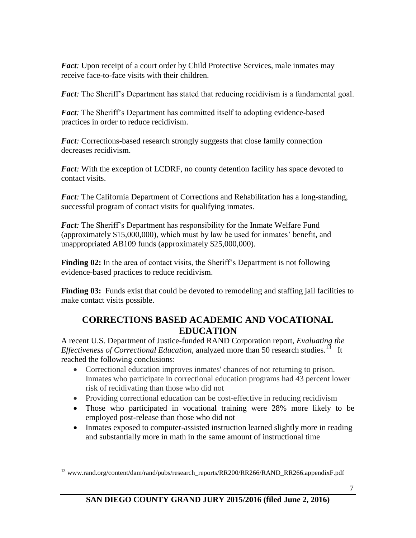*Fact*: Upon receipt of a court order by Child Protective Services, male inmates may receive face-to-face visits with their children.

*Fact:* The Sheriff's Department has stated that reducing recidivism is a fundamental goal.

*Fact:* The Sheriff's Department has committed itself to adopting evidence-based practices in order to reduce recidivism.

*Fact:* Corrections-based research strongly suggests that close family connection decreases recidivism.

*Fact:* With the exception of LCDRF, no county detention facility has space devoted to contact visits.

*Fact:* The California Department of Corrections and Rehabilitation has a long-standing, successful program of contact visits for qualifying inmates.

*Fact:* The Sheriff's Department has responsibility for the Inmate Welfare Fund (approximately \$15,000,000), which must by law be used for inmates' benefit, and unappropriated AB109 funds (approximately \$25,000,000).

**Finding 02:** In the area of contact visits, the Sheriff's Department is not following evidence-based practices to reduce recidivism.

**Finding 03:** Funds exist that could be devoted to remodeling and staffing jail facilities to make contact visits possible.

# **CORRECTIONS BASED ACADEMIC AND VOCATIONAL EDUCATION**

A recent U.S. Department of Justice-funded RAND Corporation report, *Evaluating the Effectiveness of Correctional Education*, analyzed more than 50 research studies.<sup>13</sup> It reached the following conclusions:

- Correctional education improves inmates' chances of not returning to prison. Inmates who participate in correctional education programs had 43 percent lower risk of recidivating than those who did not
- Providing correctional education can be cost-effective in reducing recidivism
- Those who participated in vocational training were 28% more likely to be employed post-release than those who did not
- Inmates exposed to computer-assisted instruction learned slightly more in reading and substantially more in math in the same amount of instructional time

 $\overline{a}$ 

<sup>&</sup>lt;sup>13</sup> [www.rand.org/content/dam/rand/pubs/research\\_reports/RR200/RR266/RAND\\_RR266.appendixF.pdf](http://www.rand.org/content/dam/rand/pubs/research_reports/RR200/RR266/RAND_RR266.appendixF.pdf)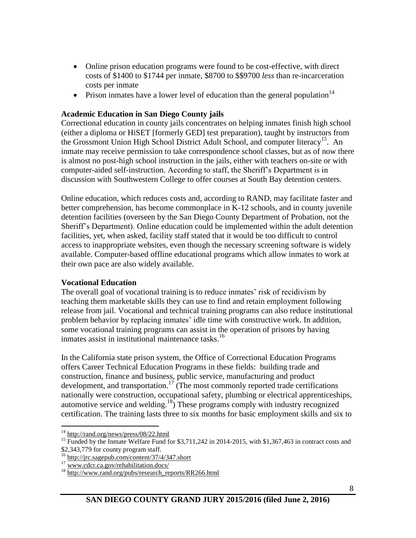- Online prison education programs were found to be cost-effective, with direct costs of \$1400 to \$1744 per inmate, \$8700 to \$\$9700 *less* than re-incarceration costs per inmate
- Prison inmates have a lower level of education than the general population  $14$

#### **Academic Education in San Diego County jails**

Correctional education in county jails concentrates on helping inmates finish high school (either a diploma or HiSET [formerly GED] test preparation), taught by instructors from the Grossmont Union High School District Adult School, and computer literacy<sup>15</sup>. An inmate may receive permission to take correspondence school classes, but as of now there is almost no post-high school instruction in the jails, either with teachers on-site or with computer-aided self-instruction. According to staff, the Sheriff's Department is in discussion with Southwestern College to offer courses at South Bay detention centers.

Online education, which reduces costs and, according to RAND, may facilitate faster and better comprehension, has become commonplace in K-12 schools, and in county juvenile detention facilities (overseen by the San Diego County Department of Probation, not the Sheriff's Department). Online education could be implemented within the adult detention facilities, yet, when asked, facility staff stated that it would be too difficult to control access to inappropriate websites, even though the necessary screening software is widely available. Computer-based offline educational programs which allow inmates to work at their own pace are also widely available.

#### **Vocational Education**

The overall goal of vocational training is to reduce inmates' risk of recidivism by teaching them marketable skills they can use to find and retain employment following release from jail. Vocational and technical training programs can also reduce institutional problem behavior by replacing inmates' idle time with constructive work. In addition, some vocational training programs can assist in the operation of prisons by having inmates assist in institutional maintenance tasks. 16

In the California state prison system, the Office of Correctional Education Programs offers Career Technical Education Programs in these fields: building trade and construction, finance and business, public service, manufacturing and product development, and transportation.<sup>17</sup> (The most commonly reported trade certifications nationally were construction, occupational safety, plumbing or electrical apprenticeships, automotive service and welding.<sup>18</sup>) These programs comply with industry recognized certification. The training lasts three to six months for basic employment skills and six to

 $\overline{a}$ <sup>14</sup> <http://rand.org/news/press/08/22.html>

<sup>&</sup>lt;sup>15</sup> Funded by the Inmate Welfare Fund for \$3,711,242 in 2014-2015, with \$1,367,463 in contract costs and \$2,343,779 for county program staff.

 $^{16}$  <http://jrc.sagepub.com/content/37/4/347.short>

<sup>&</sup>lt;sup>17</sup> [www.cdcr.ca.gov/rehabilitation.docs/](http://www.cdcr.ca.gov/rehabilitation.docs/)

 $^{18}$  [http://www.rand.org/pubs/research\\_reports/RR266.html](http://www.rand.org/pubs/research_reports/RR266.html)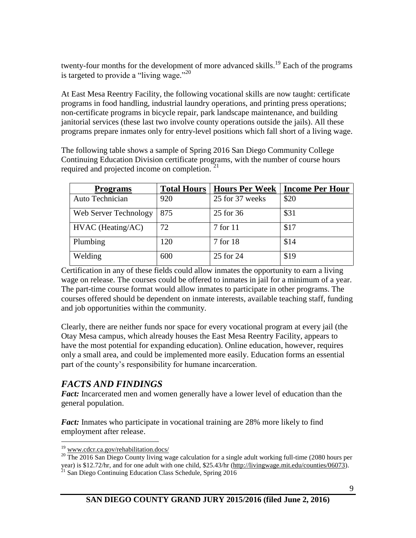twenty-four months for the development of more advanced skills.<sup>19</sup> Each of the programs is targeted to provide a "living wage."<sup>20</sup>

At East Mesa Reentry Facility, the following vocational skills are now taught: certificate programs in food handling, industrial laundry operations, and printing press operations; non-certificate programs in bicycle repair, park landscape maintenance, and building janitorial services (these last two involve county operations outside the jails). All these programs prepare inmates only for entry-level positions which fall short of a living wage.

The following table shows a sample of Spring 2016 San Diego Community College Continuing Education Division certificate programs, with the number of course hours required and projected income on completion. <sup>21</sup>

| <b>Programs</b>       | <b>Total Hours</b> | <b>Hours Per Week</b> | <b>Income Per Hour</b> |
|-----------------------|--------------------|-----------------------|------------------------|
| Auto Technician       | 920                | 25 for 37 weeks       | \$20                   |
| Web Server Technology | 875                | 25 for 36             | \$31                   |
| HVAC (Heating/AC)     | 72                 | 7 for 11              | \$17                   |
| Plumbing              | 120                | 7 for 18              | \$14                   |
| Welding               | 600                | 25 for 24             | \$19                   |

Certification in any of these fields could allow inmates the opportunity to earn a living wage on release. The courses could be offered to inmates in jail for a minimum of a year. The part-time course format would allow inmates to participate in other programs. The courses offered should be dependent on inmate interests, available teaching staff, funding and job opportunities within the community.

Clearly, there are neither funds nor space for every vocational program at every jail (the Otay Mesa campus, which already houses the East Mesa Reentry Facility, appears to have the most potential for expanding education). Online education, however, requires only a small area, and could be implemented more easily. Education forms an essential part of the county's responsibility for humane incarceration.

# *FACTS AND FINDINGS*

*Fact:* Incarcerated men and women generally have a lower level of education than the general population.

*Fact:* Inmates who participate in vocational training are 28% more likely to find employment after release.

 $\overline{a}$ 

<sup>&</sup>lt;sup>19</sup> [www.cdcr.ca.gov/rehabilitation.docs/](http://www.cdcr.ca.gov/rehabilitation.docs/)

<sup>&</sup>lt;sup>20</sup> The 2016 San Diego County living wage calculation for a single adult working full-time (2080 hours per year) is \$12.72/hr, and for one adult with one child, \$25.43/hr [\(http://livingwage.mit.edu/counties/06073\)](http://livingwage.mit.edu/counties/06073).  $21$  San Diego Continuing Education Class Schedule, Spring 2016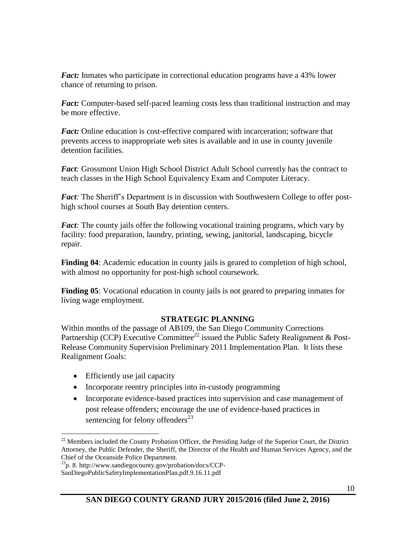*Fact:* Inmates who participate in correctional education programs have a 43% lower chance of returning to prison.

*Fact:* Computer-based self-paced learning costs less than traditional instruction and may be more effective.

*Fact:* Online education is cost-effective compared with incarceration; software that prevents access to inappropriate web sites is available and in use in county juvenile detention facilities.

*Fact:* Grossmont Union High School District Adult School currently has the contract to teach classes in the High School Equivalency Exam and Computer Literacy.

*Fact:* The Sheriff's Department is in discussion with Southwestern College to offer posthigh school courses at South Bay detention centers.

*Fact:* The county jails offer the following vocational training programs, which vary by facility: food preparation, laundry, printing, sewing, janitorial, landscaping, bicycle repair.

**Finding 04**: Academic education in county jails is geared to completion of high school, with almost no opportunity for post-high school coursework.

**Finding 05**: Vocational education in county jails is not geared to preparing inmates for living wage employment.

#### **STRATEGIC PLANNING**

Within months of the passage of AB109, the San Diego Community Corrections Partnership (CCP) Executive Committee<sup>22</sup> issued the Public Safety Realignment & Post-Release Community Supervision Preliminary 2011 Implementation Plan. It lists these Realignment Goals:

• Efficiently use jail capacity

 $\overline{a}$ 

- Incorporate reentry principles into in-custody programming
- Incorporate evidence-based practices into supervision and case management of post release offenders; encourage the use of evidence-based practices in sentencing for felony offenders $^{23}$

 $22$  Members included the County Probation Officer, the Presiding Judge of the Superior Court, the District Attorney, the Public Defender, the Sheriff, the Director of the Health and Human Services Agency, and the Chief of the Oceanside Police Department.

<sup>23</sup>p. 8. http://www.sandiegocounty.gov/probation/docs/CCP-SanDiegoPublicSafetyImplementationPlan.pdf.9.16.11.pdf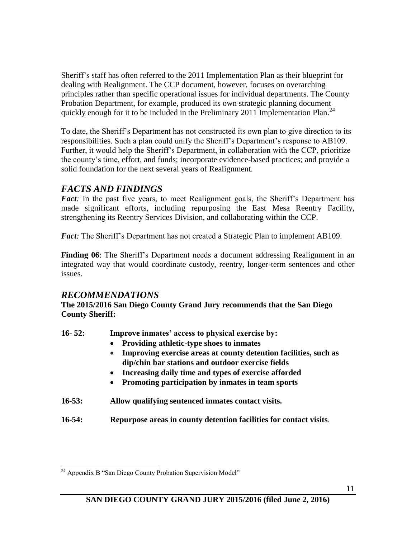Sheriff's staff has often referred to the 2011 Implementation Plan as their blueprint for dealing with Realignment. The CCP document, however, focuses on overarching principles rather than specific operational issues for individual departments. The County Probation Department, for example, produced its own strategic planning document quickly enough for it to be included in the Preliminary 2011 Implementation Plan.<sup>24</sup>

To date, the Sheriff's Department has not constructed its own plan to give direction to its responsibilities. Such a plan could unify the Sheriff's Department's response to AB109. Further, it would help the Sheriff's Department, in collaboration with the CCP, prioritize the county's time, effort, and funds; incorporate evidence-based practices; and provide a solid foundation for the next several years of Realignment.

## *FACTS AND FINDINGS*

*Fact*: In the past five years, to meet Realignment goals, the Sheriff's Department has made significant efforts, including repurposing the East Mesa Reentry Facility, strengthening its Reentry Services Division, and collaborating within the CCP.

*Fact:* The Sheriff's Department has not created a Strategic Plan to implement AB109.

**Finding 06**: The Sheriff's Department needs a document addressing Realignment in an integrated way that would coordinate custody, reentry, longer-term sentences and other issues.

### *RECOMMENDATIONS*

**The 2015/2016 San Diego County Grand Jury recommends that the San Diego County Sheriff:**

- **16- 52: Improve inmates' access to physical exercise by:**
	- **Providing athletic-type shoes to inmates**
	- **Improving exercise areas at county detention facilities, such as dip/chin bar stations and outdoor exercise fields**
	- **Increasing daily time and types of exercise afforded**
	- **Promoting participation by inmates in team sports**
- **16-53: Allow qualifying sentenced inmates contact visits.**
- **16-54: Repurpose areas in county detention facilities for contact visits**.

 $\overline{a}$  $24$  Appendix B "San Diego County Probation Supervision Model"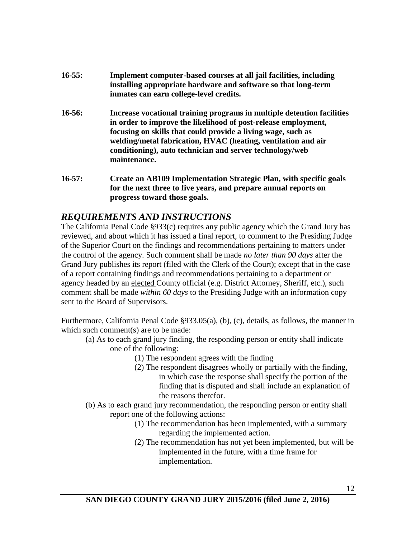- **16-55: Implement computer-based courses at all jail facilities, including installing appropriate hardware and software so that long-term inmates can earn college-level credits.**
- **16-56: Increase vocational training programs in multiple detention facilities in order to improve the likelihood of post-release employment, focusing on skills that could provide a living wage, such as welding/metal fabrication, HVAC (heating, ventilation and air conditioning), auto technician and server technology/web maintenance.**
- **16-57: Create an AB109 Implementation Strategic Plan, with specific goals for the next three to five years, and prepare annual reports on progress toward those goals.**

### *REQUIREMENTS AND INSTRUCTIONS*

The California Penal Code §933(c) requires any public agency which the Grand Jury has reviewed, and about which it has issued a final report, to comment to the Presiding Judge of the Superior Court on the findings and recommendations pertaining to matters under the control of the agency. Such comment shall be made *no later than 90 days* after the Grand Jury publishes its report (filed with the Clerk of the Court); except that in the case of a report containing findings and recommendations pertaining to a department or agency headed by an elected County official (e.g. District Attorney, Sheriff, etc.), such comment shall be made *within 60 days* to the Presiding Judge with an information copy sent to the Board of Supervisors.

Furthermore, California Penal Code §933.05(a), (b), (c), details, as follows, the manner in which such comment(s) are to be made:

- (a) As to each grand jury finding, the responding person or entity shall indicate one of the following:
	- (1) The respondent agrees with the finding
	- (2) The respondent disagrees wholly or partially with the finding, in which case the response shall specify the portion of the finding that is disputed and shall include an explanation of the reasons therefor.
- (b) As to each grand jury recommendation, the responding person or entity shall report one of the following actions:
	- (1) The recommendation has been implemented, with a summary regarding the implemented action.
	- (2) The recommendation has not yet been implemented, but will be implemented in the future, with a time frame for implementation.